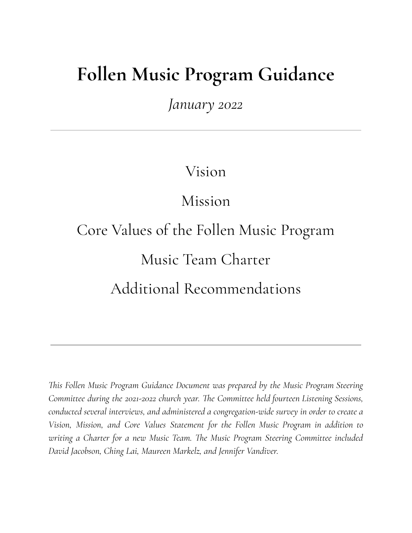# **Follen Music Program Guidance**

*January 2022*

Vision

Mission

Core Values of the Follen Music Program Music Team Charter Additional Recommendations

*This Follen Music Program Guidance Document was prepared by the Music Program Steering Committee during the 2021-2022 church year. The Committee held fourteen Listening Sessions, conducted several interviews, and administered a congregation-wide survey in order to create a Vision, Mission, and Core Values Statement for the Follen Music Program in addition to writing a Charter for a new Music Team. The Music Program Steering Committee included David Jacobson, Ching Lai, Maureen Markelz, and Jennifer Vandiver.*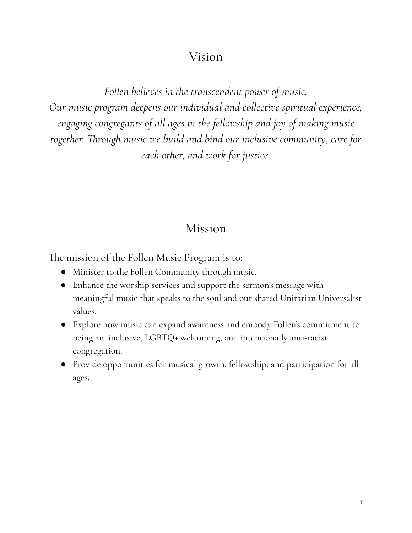## Vision

*Follen believes in the transcendent power of music. Our music program deepens our individual and collective spiritual experience, engaging congregants of all ages in the fellowship and joy of making music together. Through music we build and bind our inclusive community, care for each other, and work for justice.*

## Mission

The mission of the Follen Music Program is to:

- Minister to the Follen Community through music.
- Enhance the worship services and support the sermon's message with meaningful music that speaks to the soul and our shared Unitarian Universalist values.
- Explore how music can expand awareness and embody Follen's commitment to being an inclusive, LGBTQ+ welcoming, and intentionally anti-racist congregation.
- Provide opportunities for musical growth, fellowship, and participation for all ages.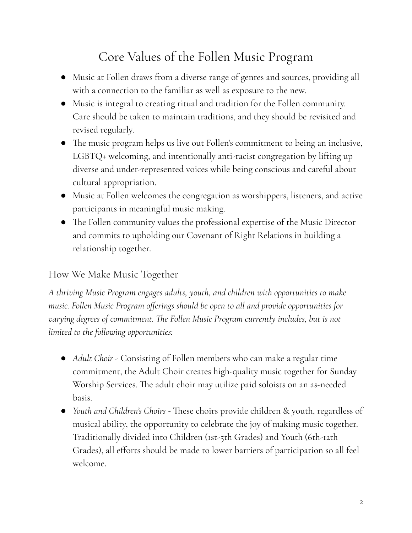## Core Values of the Follen Music Program

- Music at Follen draws from a diverse range of genres and sources, providing all with a connection to the familiar as well as exposure to the new.
- Music is integral to creating ritual and tradition for the Follen community. Care should be taken to maintain traditions, and they should be revisited and revised regularly.
- The music program helps us live out Follen's commitment to being an inclusive, LGBTQ+ welcoming, and intentionally anti-racist congregation by lifting up diverse and under-represented voices while being conscious and careful about cultural appropriation.
- Music at Follen welcomes the congregation as worshippers, listeners, and active participants in meaningful music making.
- The Follen community values the professional expertise of the Music Director and commits to upholding our Covenant of Right Relations in building a relationship together.

### How We Make Music Together

*A thriving Music Program engages adults, youth, and children with opportunities to make music. Follen Music Program offerings should be open to all and provide opportunities for varying degrees of commitment. The Follen Music Program currently includes, but is not limited to the following opportunities:*

- *● Adult Choir* Consisting of Follen members who can make a regular time commitment, the Adult Choir creates high-quality music together for Sunday Worship Services. The adult choir may utilize paid soloists on an as-needed basis.
- *● Youth and Children's Choirs -* These choirs provide children & youth, regardless of musical ability, the opportunity to celebrate the joy of making music together. Traditionally divided into Children (1st-5th Grades) and Youth (6th-12th Grades), all efforts should be made to lower barriers of participation so all feel welcome.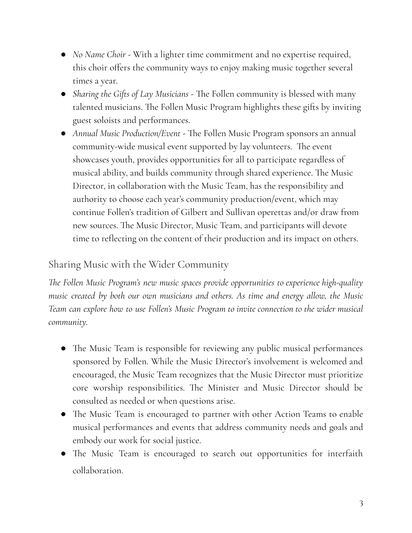- *● No Name Choir -* With a lighter time commitment and no expertise required, this choir offers the community ways to enjoy making music together several times a year.
- *Sharing the Gifts of Lay Musicians* The Follen community is blessed with many talented musicians. The Follen Music Program highlights these gifts by inviting guest soloists and performances.
- *● Annual Music Production/Event -* The Follen Music Program sponsors an annual community-wide musical event supported by lay volunteers. The event showcases youth, provides opportunities for all to participate regardless of musical ability, and builds community through shared experience. The Music Director, in collaboration with the Music Team, has the responsibility and authority to choose each year's community production/event, which may continue Follen's tradition of Gilbert and Sullivan operettas and/or draw from new sources. The Music Director, Music Team, and participants will devote time to reflecting on the content of their production and its impact on others.

#### Sharing Music with the Wider Community

*The Follen Music Program's new music spaces provide opportunities to experience high-quality music created by both our own musicians and others. As time and energy allow, the Music Team can explore how to use Follen's Music Program to invite connection to the wider musical community.*

- The Music Team is responsible for reviewing any public musical performances sponsored by Follen. While the Music Director's involvement is welcomed and encouraged, the Music Team recognizes that the Music Director must prioritize core worship responsibilities. The Minister and Music Director should be consulted as needed or when questions arise.
- The Music Team is encouraged to partner with other Action Teams to enable musical performances and events that address community needs and goals and embody our work for social justice.
- The Music Team is encouraged to search out opportunities for interfaith collaboration.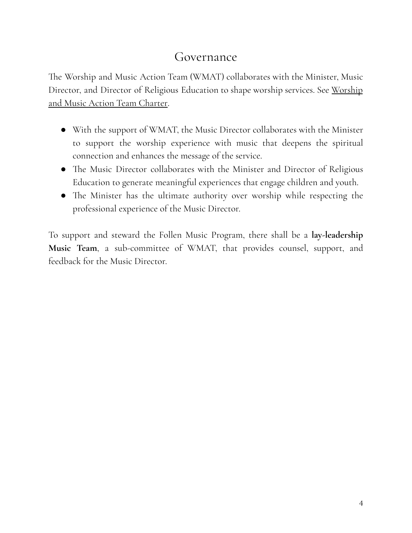### Governance

The Worship and Music Action Team (WMAT) collaborates with the Minister, Music Director, and Director of Religious Education to shape worship services. See Worship and Music Action Team Charter.

- With the support of WMAT, the Music Director collaborates with the Minister to support the worship experience with music that deepens the spiritual connection and enhances the message of the service.
- The Music Director collaborates with the Minister and Director of Religious Education to generate meaningful experiences that engage children and youth.
- The Minister has the ultimate authority over worship while respecting the professional experience of the Music Director.

To support and steward the Follen Music Program, there shall be a **lay-leadership Music Team**, a sub-committee of WMAT, that provides counsel, support, and feedback for the Music Director.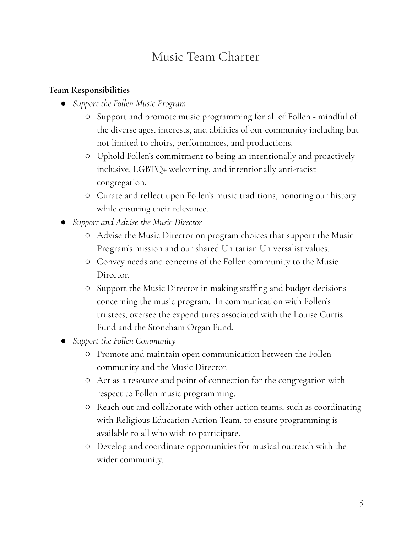## Music Team Charter

#### **Team Responsibilities**

- *● Support the Follen Music Program*
	- Support and promote music programming for all of Follen mindful of the diverse ages, interests, and abilities of our community including but not limited to choirs, performances, and productions.
	- Uphold Follen's commitment to being an intentionally and proactively inclusive, LGBTQ+ welcoming, and intentionally anti-racist congregation.
	- *○* Curate and reflect upon Follen's music traditions, honoring our history while ensuring their relevance.
- *● Support and Advise the Music Director*
	- Advise the Music Director on program choices that support the Music Program's mission and our shared Unitarian Universalist values.
	- Convey needs and concerns of the Follen community to the Music Director.
	- Support the Music Director in making staffing and budget decisions concerning the music program. In communication with Follen's trustees, oversee the expenditures associated with the Louise Curtis Fund and the Stoneham Organ Fund.
- *● Support the Follen Community*
	- Promote and maintain open communication between the Follen community and the Music Director.
	- Act as a resource and point of connection for the congregation with respect to Follen music programming.
	- Reach out and collaborate with other action teams, such as coordinating with Religious Education Action Team, to ensure programming is available to all who wish to participate.
	- Develop and coordinate opportunities for musical outreach with the wider community.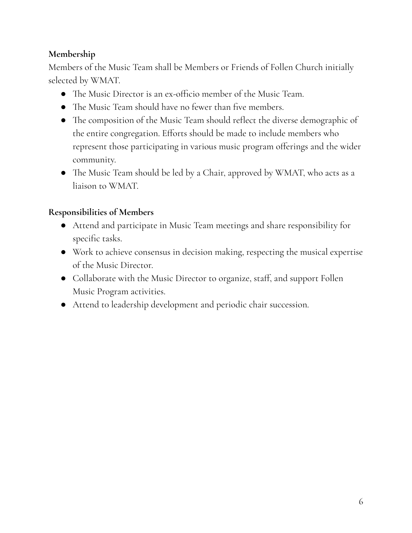#### **Membership**

Members of the Music Team shall be Members or Friends of Follen Church initially selected by WMAT.

- The Music Director is an ex-officio member of the Music Team.
- The Music Team should have no fewer than five members.
- The composition of the Music Team should reflect the diverse demographic of the entire congregation. Efforts should be made to include members who represent those participating in various music program offerings and the wider community.
- The Music Team should be led by a Chair, approved by WMAT, who acts as a liaison to WMAT.

#### **Responsibilities of Members**

- Attend and participate in Music Team meetings and share responsibility for specific tasks.
- Work to achieve consensus in decision making, respecting the musical expertise of the Music Director.
- Collaborate with the Music Director to organize, staff, and support Follen Music Program activities.
- Attend t0 leadership development and periodic chair succession.